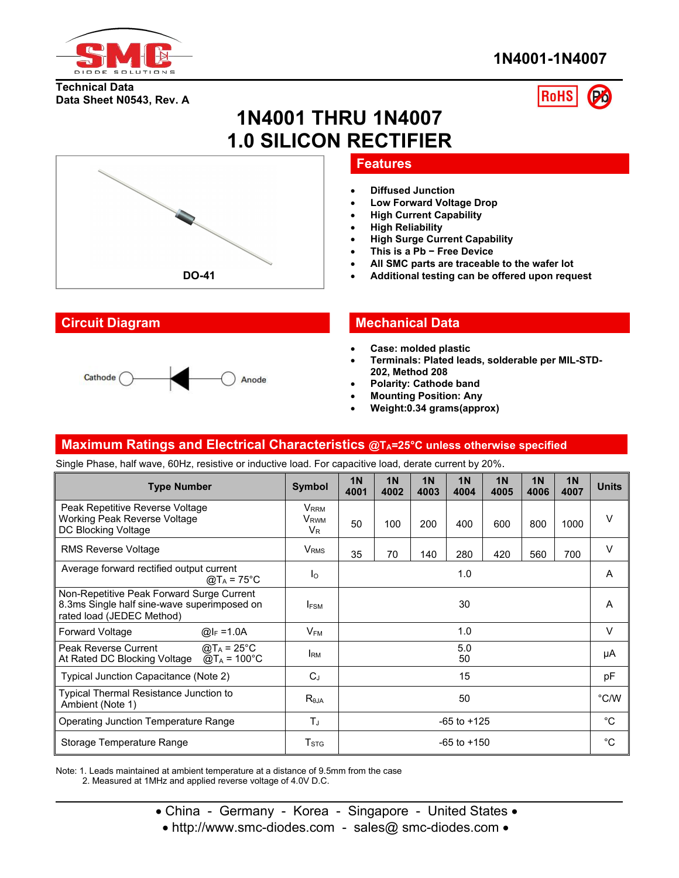

**Data Sheet N0543, Rev. A**

**Technical Data**

# **1N4001-1N4007**



# **1N4001 THRU 1N4007 1.0 SILICON RECTIFIER**



#### **Features**

- **Diffused Junction**
- **Low Forward Voltage Drop**
- **High Current Capability**
- **High Reliability**
- **High Surge Current Capability**
- **This is a Pb − Free Device**
- **All SMC parts are traceable to the wafer lot**
- **DO-41 Additional testing can be offered upon request**



### **Circuit Diagram Mechanical Data**

- **Case: molded plastic**
- **Terminals: Plated leads, solderable per MIL-STD- 202, Method 208**
- **Polarity: Cathode band**
- **Mounting Position: Any**
- **Weight:0.34 grams(approx)**

#### **Maximum Ratings and Electrical Characteristics @TA=25°C unless otherwise specified**

Single Phase, half wave, 60Hz, resistive or inductive load. For capacitive load, derate current by 20%.

| <b>Type Number</b>                                                                                                    | Symbol                                                        | 1 <sub>N</sub><br>4001 | 1 <sub>N</sub><br>4002 | 1 <sub>N</sub><br>4003 | 1 <sub>N</sub><br>4004 | 1 <sub>N</sub><br>4005 | 1 <sub>N</sub><br>4006 | 1 <sub>N</sub><br>4007 | <b>Units</b> |
|-----------------------------------------------------------------------------------------------------------------------|---------------------------------------------------------------|------------------------|------------------------|------------------------|------------------------|------------------------|------------------------|------------------------|--------------|
| Peak Repetitive Reverse Voltage<br>Working Peak Reverse Voltage<br>DC Blocking Voltage                                | <b>V</b> <sub>RRM</sub><br><b>V</b> <sub>RWM</sub><br>$V_{R}$ | 50                     | 100                    | 200                    | 400                    | 600                    | 800                    | 1000                   | V            |
| <b>RMS Reverse Voltage</b>                                                                                            | <b>V</b> <sub>RMS</sub>                                       | 35                     | 70                     | 140                    | 280                    | 420                    | 560                    | 700                    | $\vee$       |
| Average forward rectified output current<br>@T <sub>A</sub> = 75°C                                                    | Iо                                                            | 1.0                    |                        |                        | A                      |                        |                        |                        |              |
| Non-Repetitive Peak Forward Surge Current<br>8.3ms Single half sine-wave superimposed on<br>rated load (JEDEC Method) | <b>IFSM</b>                                                   | 30                     |                        |                        | A                      |                        |                        |                        |              |
| Forward Voltage<br>@ $I_F = 1.0A$                                                                                     | $V_{FM}$                                                      | 1.0                    |                        |                        | V                      |                        |                        |                        |              |
| $\omega T_A = 25^{\circ}C$<br>Peak Reverse Current<br>$@T_A = 100°C$<br>At Rated DC Blocking Voltage                  | <b>IRM</b>                                                    | 5.0<br>50              |                        |                        | μA                     |                        |                        |                        |              |
| Typical Junction Capacitance (Note 2)                                                                                 | $C_J$                                                         | 15                     |                        |                        | pF                     |                        |                        |                        |              |
| Typical Thermal Resistance Junction to<br>Ambient (Note 1)                                                            | $R_{\theta$ JA                                                | 50                     |                        |                        | $^{\circ}$ C/W         |                        |                        |                        |              |
| Operating Junction Temperature Range                                                                                  | $T_{J}$                                                       | $-65$ to $+125$        |                        |                        | °C                     |                        |                        |                        |              |
| Storage Temperature Range                                                                                             | $T_{\mathrm{STG}}$                                            | $-65$ to $+150$        |                        |                        | $^{\circ}C$            |                        |                        |                        |              |

Note: 1. Leads maintained at ambient temperature at a distance of 9.5mm from the case 2. Measured at 1MHz and applied reverse voltage of 4.0V D.C.

- China Germany Korea Singapore United States •
- http://www.smc-diodes.com sales@ smc-diodes.com •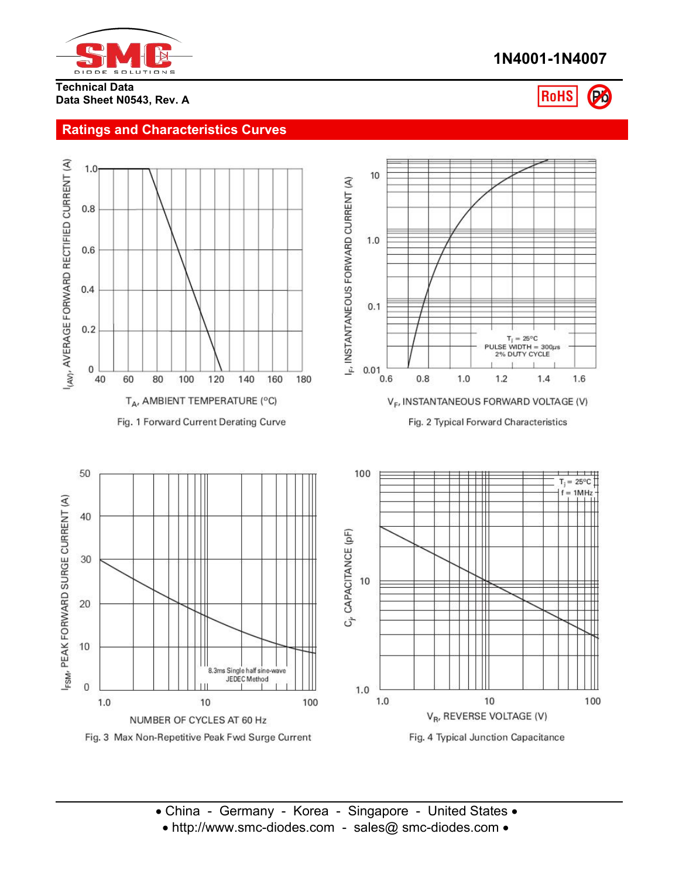

# **1N4001-1N4007**

**Technical Data Data Sheet N0543, Rev. A**

# **RoHS**

## **Ratings and Characteristics Curves**

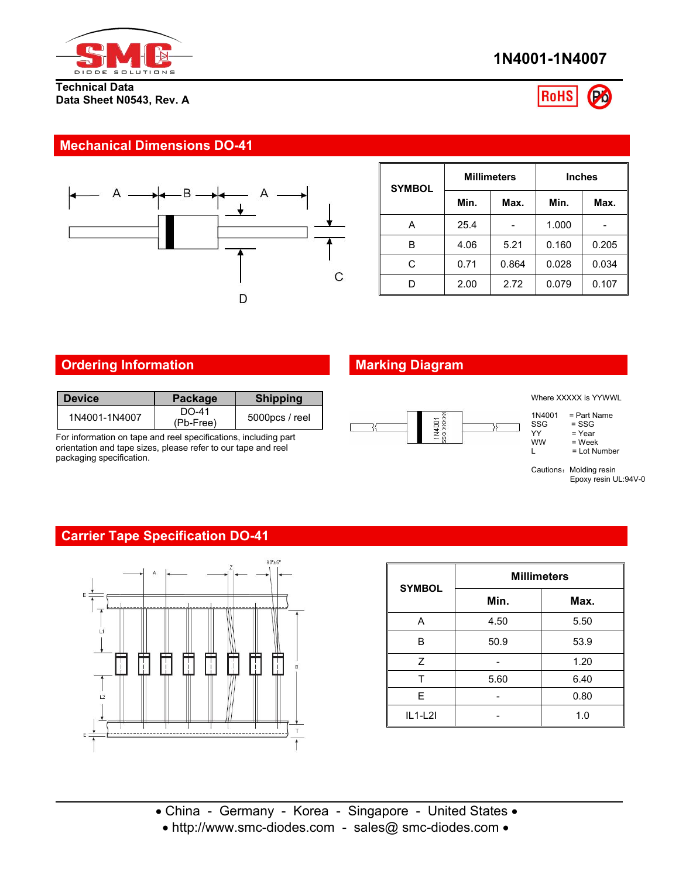

#### **Technical Data Data Sheet N0543, Rev. A**





### **Mechanical Dimensions DO-41**



| <b>SYMBOL</b> |      | <b>Millimeters</b> | <b>Inches</b> |       |  |  |
|---------------|------|--------------------|---------------|-------|--|--|
|               | Min. | Max.               | Min.          | Max.  |  |  |
| A             | 25.4 |                    | 1.000         |       |  |  |
| В             | 4.06 | 5.21               | 0.160         | 0.205 |  |  |
| C             | 0.71 | 0.864              | 0.028         | 0.034 |  |  |
| D             | 2.00 | 2.72               | 0.079         | 0.107 |  |  |

# **Ordering Information Marking Diagram**

| <b>Device</b> | <b>Package</b>       | <b>Shipping</b>   |
|---------------|----------------------|-------------------|
| 1N4001-1N4007 | $DO-41$<br>(Pb-Free) | $5000$ pcs / reel |

For information on tape and reel specifications, including part orientation and tape sizes, please refer to our tape and reel packaging specification.



Where XXXXX is YYWWL

```
1N4001 = Part Name<br>SSG = SSG
```

```
SSG = SSG<br>YY = Year
```

```
YY = Year<br>WW = Weel
```
 $\begin{array}{lll}\n\text{WW} & = \text{Week} \\
\text{L} & = \text{Lot Nu}\n\end{array}$  $=$  Lot Number

Cautions: Molding resin Epoxy resin UL:94V-0

## **Carrier Tape Specification DO-41**



| <b>SYMBOL</b> | <b>Millimeters</b> |      |  |  |  |  |
|---------------|--------------------|------|--|--|--|--|
|               | Min.               | Max. |  |  |  |  |
| A             | 4.50               | 5.50 |  |  |  |  |
| B             | 50.9               | 53.9 |  |  |  |  |
| Z             |                    | 1.20 |  |  |  |  |
|               | 5.60               | 6.40 |  |  |  |  |
| E             |                    | 0.80 |  |  |  |  |
| $IL1-L2I$     |                    | 1.0  |  |  |  |  |